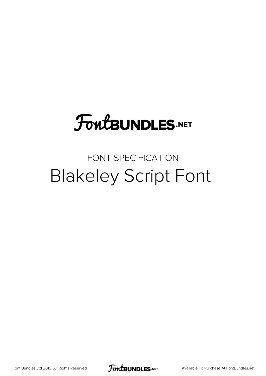# **FoutBUNDLES.NET**

### FONT SPECIFICATION Blakeley Script Font

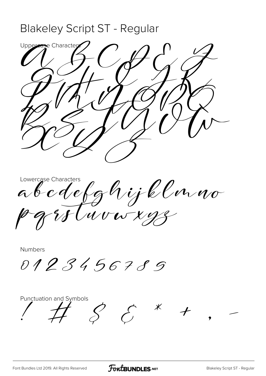### Blakeley Script ST - Regular

Uppercase Characters  $U\setminus U\cup V\cup V$  $\partial H\partial H$  $H_1/\sqrt{2}$ RSTUVW  $\sim$  IV

Lowercase Characters a o c d'efg<sup>o</sup>l y k Con no pqrstuvwxyz

Numbers

0123456789

Punctuation and Symbols  $S$   $S$   $*$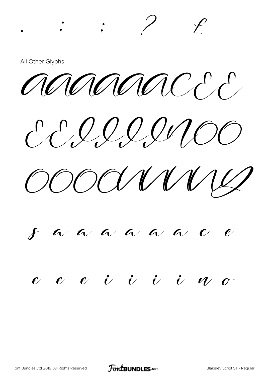All Other Glyphs

annimacco

 $\therefore$   $?$ 

CCIIIINOO

COOCLIVIUS

#### $\boldsymbol{f}$  a a a a a  $\mathcal{C}$

#### $e$   $e$   $e$  $i \; i \; i \; i$

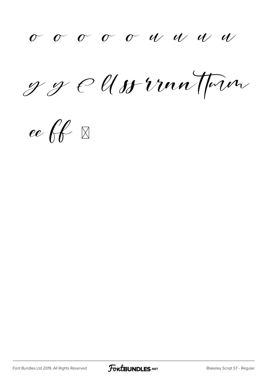g g e Uss von Town

ee ff $\mathbb{R}$ 

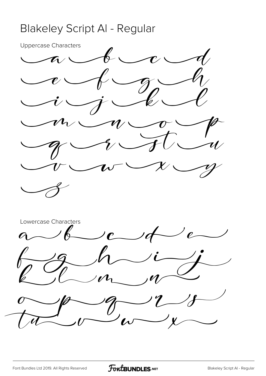### Blakeley Script Al - Regular

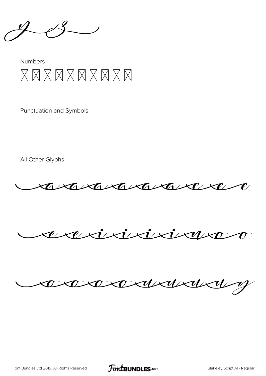#### **Numbers** XXXXXXXXXX

**Punctuation and Symbols** 

All Other Glyphs







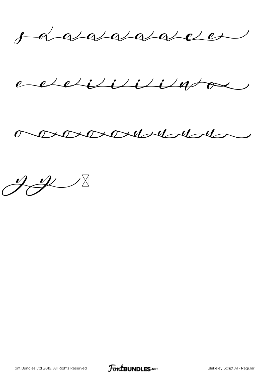o aaaaaaacce

echelisisissa



 $H \rightarrow \infty$ 

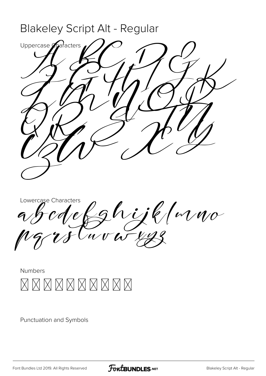

Lowercase Characters abcdefghydd Mwo pqrstuvwxyz



Punctuation and Symbols

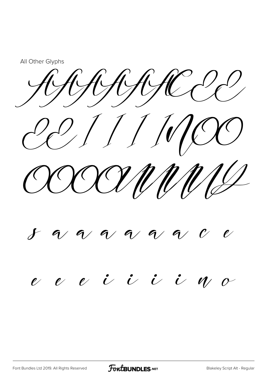All Other Glyphs

CAHARRCC CC//////CC

CCCCUMMILL

## $\delta$  a a a a a

## e e e i i i e m

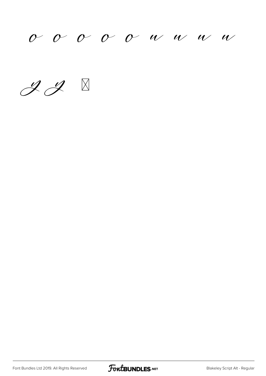$0$   $0$   $0$   $0$   $0$   $u$   $u$   $u$   $w$ 

 $ZZ$ 

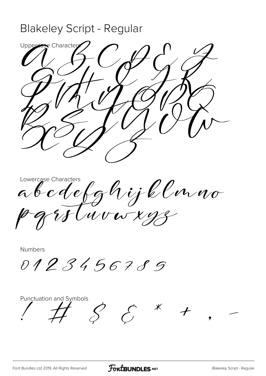### Blakeley Script - Regular



Lowercase Characters a o c d'efg $^{\prime\prime\prime}$ y k C v a no pqrstuvwxyz

Numbers

0123456789

Punctuation and Symbols  $S \Leftrightarrow$   $K$ 

[Font Bundles Ltd 2019. All Rights Reserved](https://fontbundles.net/) **FoutBUNDLES.NET** [Blakeley Script - Regular](https://fontbundles.net/)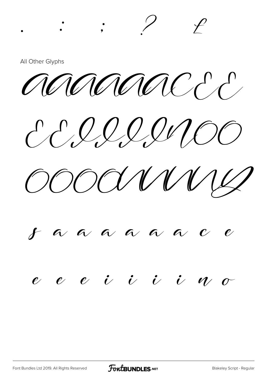All Other Glyphs

annonce

 $\therefore$   $?$ 

CCIIIINOO

COOCLIVIUS

# $\boldsymbol{f}$  a a a a a

#### $e$   $e$   $e$  $\dot{U}$   $\dot{U}$   $\dot{U}$   $\dot{U}$

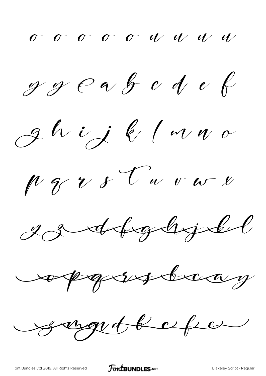$g g \rho \alpha$  f  $c d e$ 

ghij k/mno





copadsteas

syndbefo